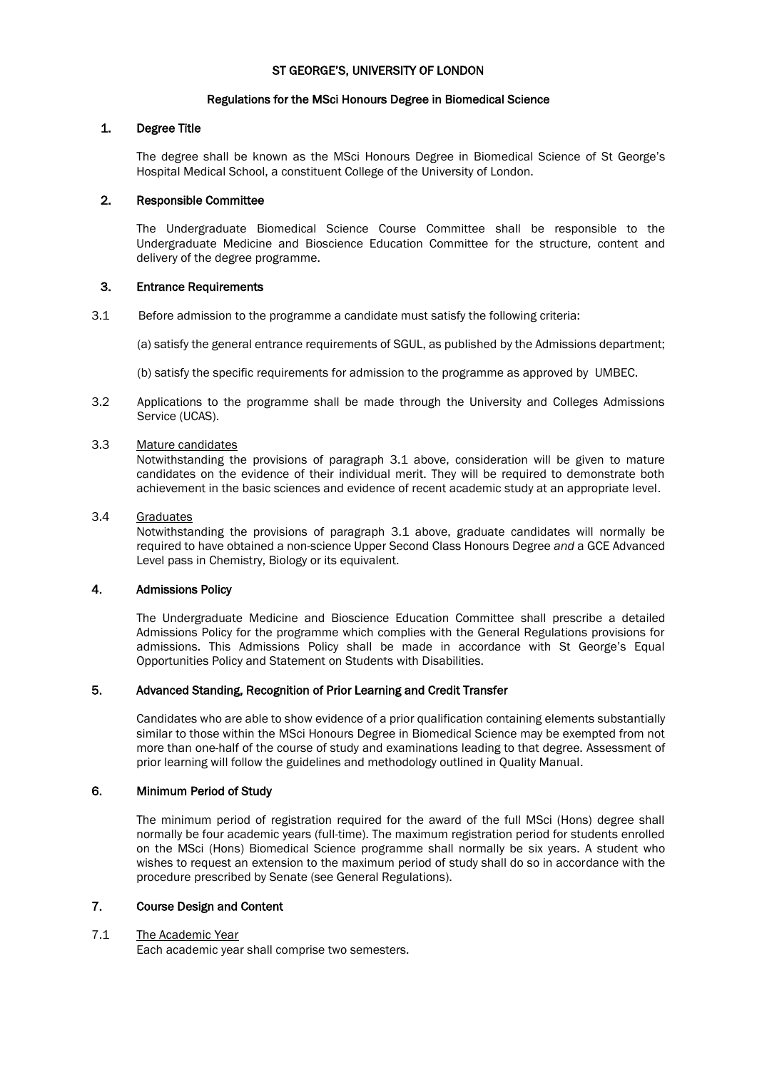## ST GEORGE'S, UNIVERSITY OF LONDON

## Regulations for the MSci Honours Degree in Biomedical Science

# 1. Degree Title

The degree shall be known as the MSci Honours Degree in Biomedical Science of St George's Hospital Medical School, a constituent College of the University of London.

# 2. Responsible Committee

The Undergraduate Biomedical Science Course Committee shall be responsible to the Undergraduate Medicine and Bioscience Education Committee for the structure, content and delivery of the degree programme.

# 3. Entrance Requirements

3.1 Before admission to the programme a candidate must satisfy the following criteria:

(a) satisfy the general entrance requirements of SGUL, as published by the Admissions department;

(b) satisfy the specific requirements for admission to the programme as approved by UMBEC.

3.2 Applications to the programme shall be made through the University and Colleges Admissions Service (UCAS).

# 3.3 Mature candidates

Notwithstanding the provisions of paragraph 3.1 above, consideration will be given to mature candidates on the evidence of their individual merit. They will be required to demonstrate both achievement in the basic sciences and evidence of recent academic study at an appropriate level.

# 3.4 Graduates

Notwithstanding the provisions of paragraph 3.1 above, graduate candidates will normally be required to have obtained a non-science Upper Second Class Honours Degree *and* a GCE Advanced Level pass in Chemistry, Biology or its equivalent.

# 4. Admissions Policy

The Undergraduate Medicine and Bioscience Education Committee shall prescribe a detailed Admissions Policy for the programme which complies with the General Regulations provisions for admissions. This Admissions Policy shall be made in accordance with St George's Equal Opportunities Policy and Statement on Students with Disabilities.

# 5. Advanced Standing, Recognition of Prior Learning and Credit Transfer

Candidates who are able to show evidence of a prior qualification containing elements substantially similar to those within the MSci Honours Degree in Biomedical Science may be exempted from not more than one-half of the course of study and examinations leading to that degree. Assessment of prior learning will follow the guidelines and methodology outlined in Quality Manual.

# 6. Minimum Period of Study

The minimum period of registration required for the award of the full MSci (Hons) degree shall normally be four academic years (full-time). The maximum registration period for students enrolled on the MSci (Hons) Biomedical Science programme shall normally be six years. A student who wishes to request an extension to the maximum period of study shall do so in accordance with the procedure prescribed by Senate (see General Regulations).

# 7. Course Design and Content

## 7.1 The Academic Year

Each academic year shall comprise two semesters.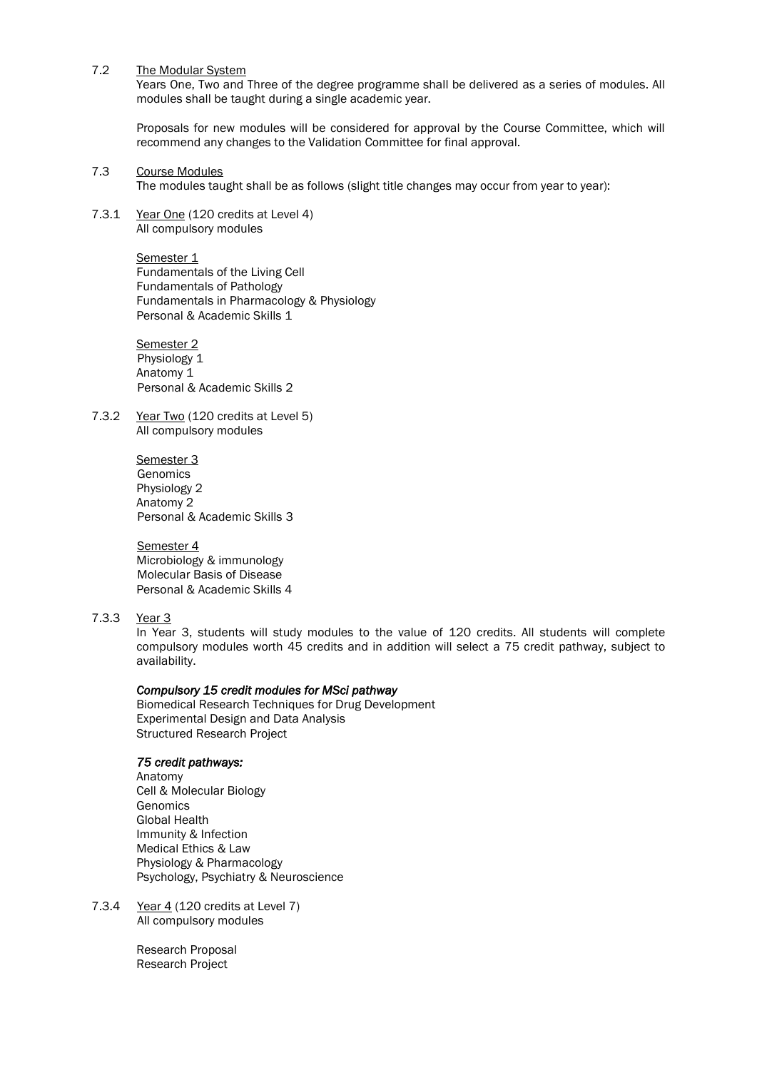7.2 The Modular System

Years One, Two and Three of the degree programme shall be delivered as a series of modules. All modules shall be taught during a single academic year.

Proposals for new modules will be considered for approval by the Course Committee, which will recommend any changes to the Validation Committee for final approval.

7.3 Course Modules

The modules taught shall be as follows (slight title changes may occur from year to year):

7.3.1 Year One (120 credits at Level 4) All compulsory modules

#### Semester<sub>1</sub>

Fundamentals of the Living Cell Fundamentals of Pathology Fundamentals in Pharmacology & Physiology Personal & Academic Skills 1

Semester<sub>2</sub> Physiology 1 Anatomy 1 Personal & Academic Skills 2

7.3.2 Year Two (120 credits at Level 5) All compulsory modules

> Semester 3 Genomics Physiology 2 Anatomy 2 Personal & Academic Skills 3

Semester 4 Microbiology & immunology Molecular Basis of Disease Personal & Academic Skills 4

# 7.3.3 Year 3

In Year 3, students will study modules to the value of 120 credits. All students will complete compulsory modules worth 45 credits and in addition will select a 75 credit pathway, subject to availability.

## *Compulsory 15 credit modules for MSci pathway*

Biomedical Research Techniques for Drug Development Experimental Design and Data Analysis Structured Research Project

## *75 credit pathways:*

Anatomy Cell & Molecular Biology **Genomics** Global Health Immunity & Infection Medical Ethics & Law Physiology & Pharmacology Psychology, Psychiatry & Neuroscience

7.3.4 Year 4 (120 credits at Level 7) All compulsory modules

> Research Proposal Research Project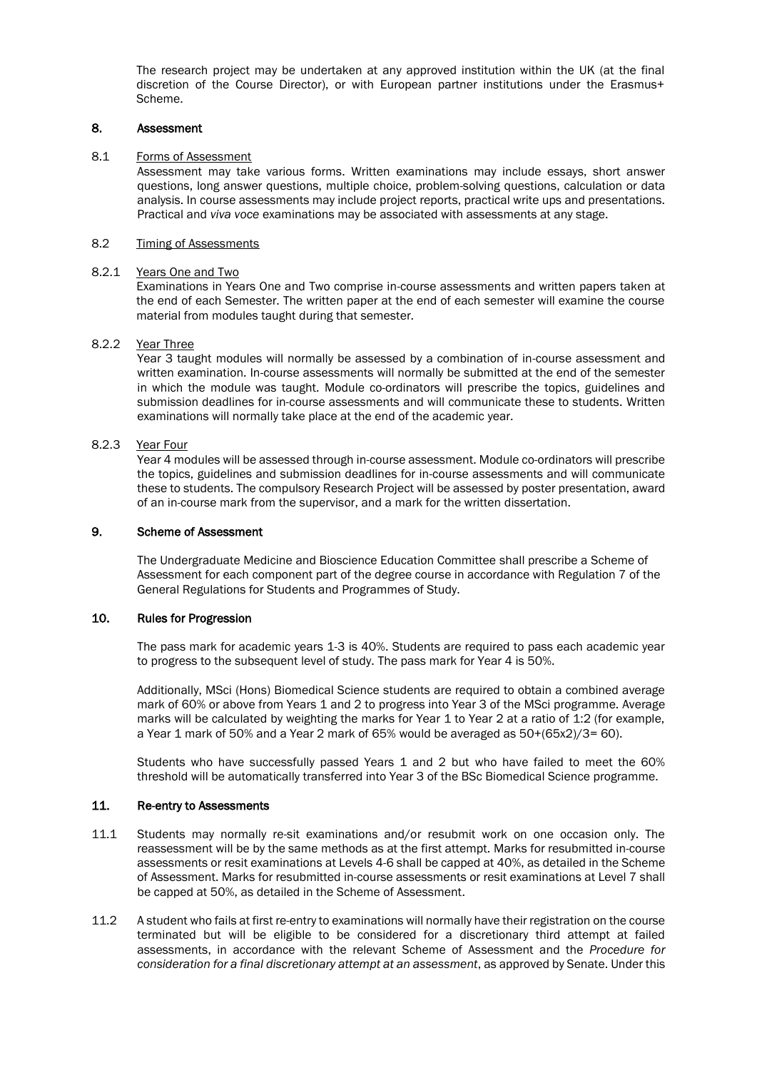The research project may be undertaken at any approved institution within the UK (at the final discretion of the Course Director), or with European partner institutions under the Erasmus+ Scheme.

## 8. Assessment

#### 8.1 Forms of Assessment

Assessment may take various forms. Written examinations may include essays, short answer questions, long answer questions, multiple choice, problem-solving questions, calculation or data analysis. In course assessments may include project reports, practical write ups and presentations. Practical and *viva voce* examinations may be associated with assessments at any stage.

#### 8.2 Timing of Assessments

#### 8.2.1 Years One and Two

Examinations in Years One and Two comprise in-course assessments and written papers taken at the end of each Semester. The written paper at the end of each semester will examine the course material from modules taught during that semester.

## 8.2.2 Year Three

Year 3 taught modules will normally be assessed by a combination of in-course assessment and written examination. In-course assessments will normally be submitted at the end of the semester in which the module was taught. Module co-ordinators will prescribe the topics, guidelines and submission deadlines for in-course assessments and will communicate these to students. Written examinations will normally take place at the end of the academic year.

## 8.2.3 Year Four

Year 4 modules will be assessed through in-course assessment. Module co-ordinators will prescribe the topics, guidelines and submission deadlines for in-course assessments and will communicate these to students. The compulsory Research Project will be assessed by poster presentation, award of an in-course mark from the supervisor, and a mark for the written dissertation.

#### 9. Scheme of Assessment

The Undergraduate Medicine and Bioscience Education Committee shall prescribe a Scheme of Assessment for each component part of the degree course in accordance with Regulation 7 of the General Regulations for Students and Programmes of Study.

# 10. Rules for Progression

The pass mark for academic years 1-3 is 40%. Students are required to pass each academic year to progress to the subsequent level of study. The pass mark for Year 4 is 50%.

Additionally, MSci (Hons) Biomedical Science students are required to obtain a combined average mark of 60% or above from Years 1 and 2 to progress into Year 3 of the MSci programme. Average marks will be calculated by weighting the marks for Year 1 to Year 2 at a ratio of 1:2 (for example, a Year 1 mark of 50% and a Year 2 mark of 65% would be averaged as 50+(65x2)/3= 60).

Students who have successfully passed Years 1 and 2 but who have failed to meet the 60% threshold will be automatically transferred into Year 3 of the BSc Biomedical Science programme.

## 11. Re-entry to Assessments

- 11.1 Students may normally re-sit examinations and/or resubmit work on one occasion only. The reassessment will be by the same methods as at the first attempt. Marks for resubmitted in-course assessments or resit examinations at Levels 4-6 shall be capped at 40%, as detailed in the Scheme of Assessment. Marks for resubmitted in-course assessments or resit examinations at Level 7 shall be capped at 50%, as detailed in the Scheme of Assessment.
- 11.2 A student who fails at first re-entry to examinations will normally have their registration on the course terminated but will be eligible to be considered for a discretionary third attempt at failed assessments, in accordance with the relevant Scheme of Assessment and the *Procedure for consideration for a final discretionary attempt at an assessment*, as approved by Senate. Under this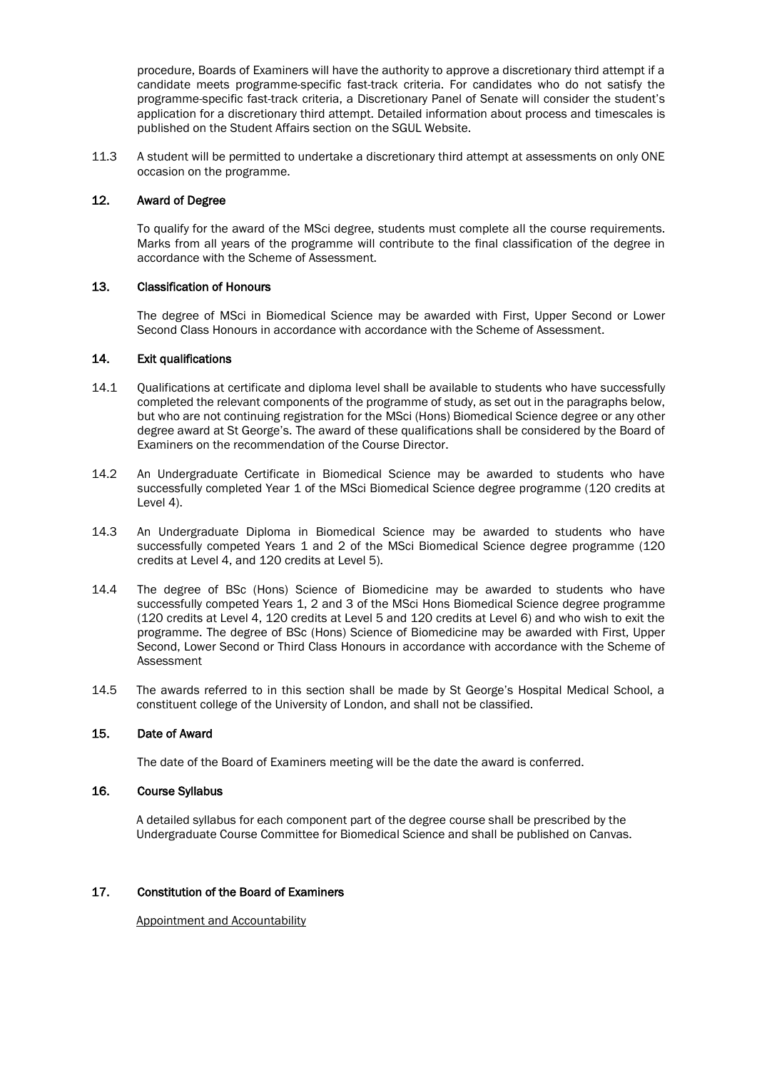procedure, Boards of Examiners will have the authority to approve a discretionary third attempt if a candidate meets programme-specific fast-track criteria. For candidates who do not satisfy the programme-specific fast-track criteria, a Discretionary Panel of Senate will consider the student's application for a discretionary third attempt. Detailed information about process and timescales is published on the Student Affairs section on the SGUL Website.

11.3 A student will be permitted to undertake a discretionary third attempt at assessments on only ONE occasion on the programme.

## 12. Award of Degree

To qualify for the award of the MSci degree, students must complete all the course requirements. Marks from all years of the programme will contribute to the final classification of the degree in accordance with the Scheme of Assessment.

# 13. Classification of Honours

The degree of MSci in Biomedical Science may be awarded with First, Upper Second or Lower Second Class Honours in accordance with accordance with the Scheme of Assessment.

# 14. Exit qualifications

- 14.1 Oualifications at certificate and diploma level shall be available to students who have successfully completed the relevant components of the programme of study, as set out in the paragraphs below, but who are not continuing registration for the MSci (Hons) Biomedical Science degree or any other degree award at St George's. The award of these qualifications shall be considered by the Board of Examiners on the recommendation of the Course Director.
- 14.2 An Undergraduate Certificate in Biomedical Science may be awarded to students who have successfully completed Year 1 of the MSci Biomedical Science degree programme (120 credits at Level 4).
- 14.3 An Undergraduate Diploma in Biomedical Science may be awarded to students who have successfully competed Years 1 and 2 of the MSci Biomedical Science degree programme (120 credits at Level 4, and 120 credits at Level 5).
- 14.4 The degree of BSc (Hons) Science of Biomedicine may be awarded to students who have successfully competed Years 1, 2 and 3 of the MSci Hons Biomedical Science degree programme (120 credits at Level 4, 120 credits at Level 5 and 120 credits at Level 6) and who wish to exit the programme. The degree of BSc (Hons) Science of Biomedicine may be awarded with First, Upper Second, Lower Second or Third Class Honours in accordance with accordance with the Scheme of Assessment
- 14.5 The awards referred to in this section shall be made by St George's Hospital Medical School, a constituent college of the University of London, and shall not be classified.

# 15. Date of Award

The date of the Board of Examiners meeting will be the date the award is conferred.

# 16. Course Syllabus

A detailed syllabus for each component part of the degree course shall be prescribed by the Undergraduate Course Committee for Biomedical Science and shall be published on Canvas.

## 17. Constitution of the Board of Examiners

Appointment and Accountability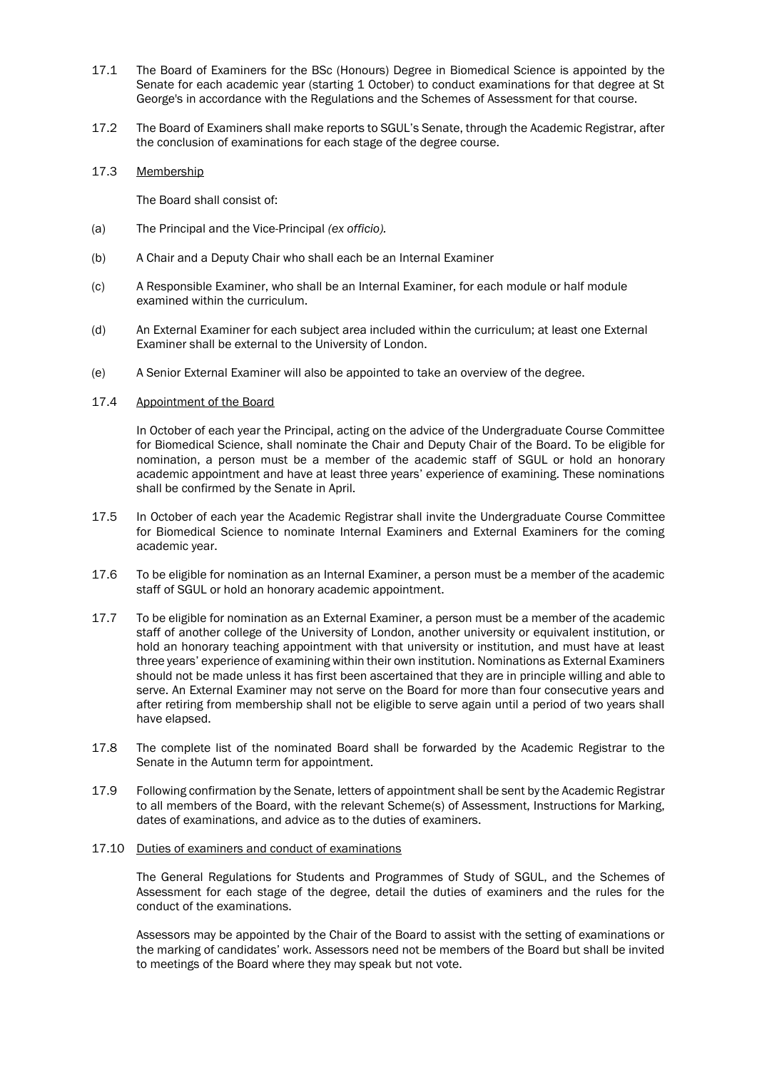- 17.1 The Board of Examiners for the BSc (Honours) Degree in Biomedical Science is appointed by the Senate for each academic year (starting 1 October) to conduct examinations for that degree at St George's in accordance with the Regulations and the Schemes of Assessment for that course.
- 17.2 The Board of Examiners shall make reports to SGUL's Senate, through the Academic Registrar, after the conclusion of examinations for each stage of the degree course.

#### 17.3 Membership

The Board shall consist of:

- (a) The Principal and the Vice-Principal *(ex officio).*
- (b) A Chair and a Deputy Chair who shall each be an Internal Examiner
- (c) A Responsible Examiner, who shall be an Internal Examiner, for each module or half module examined within the curriculum.
- (d) An External Examiner for each subject area included within the curriculum; at least one External Examiner shall be external to the University of London.
- (e) A Senior External Examiner will also be appointed to take an overview of the degree.

#### 17.4 Appointment of the Board

In October of each year the Principal, acting on the advice of the Undergraduate Course Committee for Biomedical Science, shall nominate the Chair and Deputy Chair of the Board. To be eligible for nomination, a person must be a member of the academic staff of SGUL or hold an honorary academic appointment and have at least three years' experience of examining. These nominations shall be confirmed by the Senate in April.

- 17.5 In October of each year the Academic Registrar shall invite the Undergraduate Course Committee for Biomedical Science to nominate Internal Examiners and External Examiners for the coming academic year.
- 17.6 To be eligible for nomination as an Internal Examiner, a person must be a member of the academic staff of SGUL or hold an honorary academic appointment.
- 17.7 To be eligible for nomination as an External Examiner, a person must be a member of the academic staff of another college of the University of London, another university or equivalent institution, or hold an honorary teaching appointment with that university or institution, and must have at least three years' experience of examining within their own institution. Nominations as External Examiners should not be made unless it has first been ascertained that they are in principle willing and able to serve. An External Examiner may not serve on the Board for more than four consecutive years and after retiring from membership shall not be eligible to serve again until a period of two years shall have elapsed.
- 17.8 The complete list of the nominated Board shall be forwarded by the Academic Registrar to the Senate in the Autumn term for appointment.
- 17.9 Following confirmation by the Senate, letters of appointment shall be sent by the Academic Registrar to all members of the Board, with the relevant Scheme(s) of Assessment, Instructions for Marking, dates of examinations, and advice as to the duties of examiners.
- 17.10 Duties of examiners and conduct of examinations

The General Regulations for Students and Programmes of Study of SGUL, and the Schemes of Assessment for each stage of the degree, detail the duties of examiners and the rules for the conduct of the examinations.

Assessors may be appointed by the Chair of the Board to assist with the setting of examinations or the marking of candidates' work. Assessors need not be members of the Board but shall be invited to meetings of the Board where they may speak but not vote.